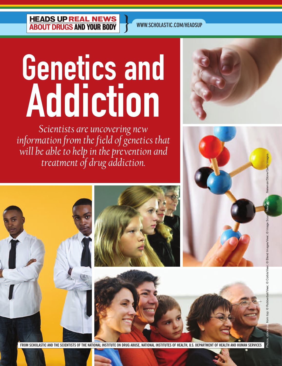**HEADS UP REAL NEWS<br>ABOUT DRUGS AND YOUR BODY** 

**}**

## Genetics and Addiction i enetics nuulu

*Scientists are uncovering new information from the field of genetics that will be able to help in the prevention and treatment of drug addiction.*



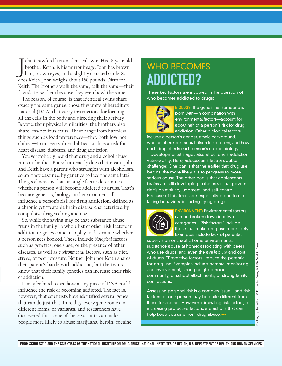J ohn Crawford has an identical twin. His 16-year-old brother, Keith, is his mirror image. John has brown hair, brown eyes, and a slightly crooked smile. So does Keith. John weighs about 160 pounds. Ditto for Keith. The brothers walk the same, talk the same—their friends tease them because they even bowl the same.

The reason, of course, is that identical twins share exactly the same **genes**, those tiny units of hereditary material (DNA) that carry instructions for forming all the cells in the body and directing their activity. Beyond their physical similarities, the brothers also share less-obvious traits. These range from harmless things such as food preferences—they both love hot chilies—to unseen vulnerabilities, such as a risk for heart disease, diabetes, and drug addiction.

You've probably heard that drug and alcohol abuse runs in families. But what exactly does that mean? John and Keith have a parent who struggles with alcoholism, so are they destined by genetics to face the same fate? The good news is that no single factor determines whether a person will become addicted to drugs. That's because genetics, biology, and environment all influence a person's risk for **drug addiction**, defined as a chronic yet treatable brain disease characterized by compulsive drug seeking and use.

So, while the saying may be that substance abuse "runs in the family," a whole list of other risk factors in addition to genes come into play to determine whether a person gets hooked. These include *biological* factors, such as genetics, one's age, or the presence of other diseases, as well as *environmental* factors, such as diet, stress, or peer pressure. Neither John nor Keith shares their parent's battle with addiction, but the twins know that their family genetics can increase their risk of addiction.

It may be hard to see how a tiny piece of DNA could influence the risk of becoming addicted. The fact is, however, that scientists have identified several genes that can do just that. In reality, every gene comes in different forms, or **variants**, and researchers have discovered that some of these variants can make people more likely to abuse marijuana, heroin, cocaine,

## WHO BECOMES ADDICTED?

These key factors are involved in the question of who becomes addicted to drugs:



BIOLOGY: The genes that someone is born with—in combination with environmental factors––account for about half of a person's risk for drug addiction. Other biological factors

include a person's gender, ethnic background, whether there are mental disorders present, and how each drug affects each person's unique biology.

Developmental stages also affect one's addiction vulnerability. Here, adolescents face a double challenge: One part is that the earlier that drug use begins, the more likely it is to progress to more serious abuse. The other part is that adolescents' brains are still developing in the areas that govern decision making, judgment, and self-control. Because of this, teens are especially prone to risktaking behaviors, including trying drugs.



ENVIRONMENT: Environmental factors can be broken down into two categories. "Risk factors" include those that make drug use more likely. Examples include lack of parental

supervision or chaotic home environments; substance abuse at home; associating with peers who use drugs; and even the availability and cost of drugs. "Protective factors" reduce the potential for drug use. Examples include parental monitoring and involvement; strong neighborhood, community, or school attachments; or strong family connections.

Assessing personal risk is a complex issue—and risk factors for one person may be quite different from those for another. However, eliminating risk factors, or increasing protective factors, are actions that can help keep you safe from drug abuse. •••